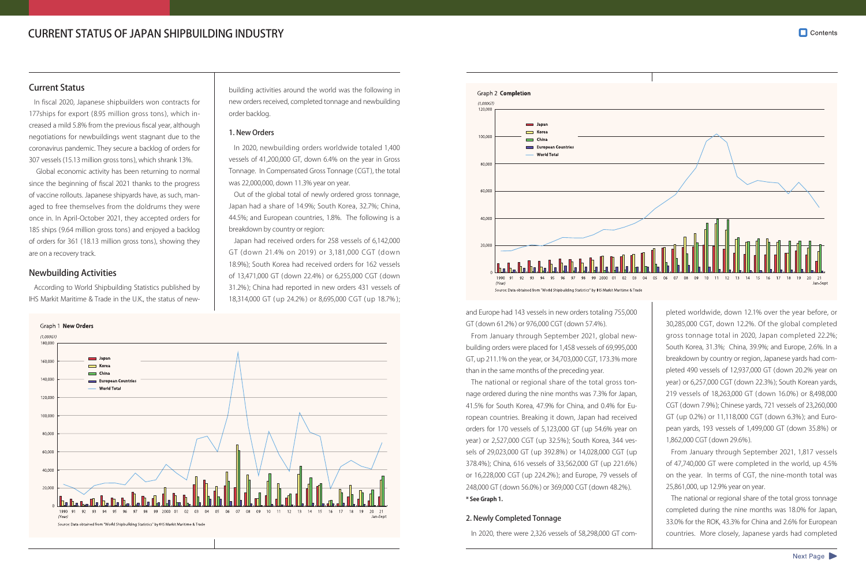# CURRENT STATUS OF JAPAN SHIPBUILDING INDUSTRY

# Current Status

In fiscal 2020, Japanese shipbuilders won contracts for 177ships for export (8.95 million gross tons ), which increased a mild 5.8% from the previous fiscal year, although negotiations for newbuildings went stagnant due to the coronavirus pandemic. They secure a backlog of orders for 307 vessels (15.13 million gross tons), which shrank 13%.

 Global economic activity has been returning to normal since the beginning of fiscal 2021 thanks to the progress of vaccine rollouts. Japanese shipyards have, as such, managed to free themselves from the doldrums they were once in. In April-October 2021, they accepted orders for 185 ships (9.64 million gross tons) and enjoyed a backlog of orders for 361 (18.13 million gross tons), showing they are on a recovery track.

# Newbuilding Activities

According to World Shipbuilding Statistics published by IHS Markit Maritime & Trade in the U.K., the status of new-

building activities around the world was the following in new orders received, completed tonnage and newbuilding order backlog.

### 1. New Orders

In 2020, newbuilding orders worldwide totaled 1,400 vessels of 41,200,000 GT, down 6.4% on the year in Gross Tonnage. In Compensated Gross Tonnage (CGT ), the total was 22,000,000, down 11.3% year on year.

Out of the global total of newly ordered gross tonnage, Japan had a share of 14.9%; South Korea, 32.7%; China, 44.5%; and European countries, 1.8%. The following is a breakdown by country or region:

Japan had received orders for 258 vessels of 6,142,000 GT (down 21.4% on 2019 ) or 3,181,000 CGT (down 18.9%); South Korea had received orders for 162 vessels of 13,471,000 GT (down 22.4%) or 6,255,000 CGT (down 31.2%); China had reported in new orders 431 vessels of 18,314,000 GT ( up 24.2% ) or 8,695,000 CGT ( up 18.7% );





and Europe had 143 vessels in new orders totaling 755,000 GT (down 61.2%) or 976,000 CGT (down 57.4%).

From January through September 2021, global newbuilding orders were placed for 1,458 vessels of 69,995,000 GT, up 211.1% on the year, or 34,703,000 CGT, 173.3% more than in the same months of the preceding year.

The national or regional share of the total gross tonnage ordered during the nine months was 7.3% for Japan, 41.5% for South Korea, 47.9% for China, and 0.4% for European countries. Breaking it down, Japan had received orders for 170 vessels of 5,123,000 GT (up 54.6% year on year) or 2,527,000 CGT (up 32.5%); South Korea, 344 vessels of 29,023,000 GT (up 392.8%) or 14,028,000 CGT (up 378.4%); China, 616 vessels of 33,562,000 GT (up 221.6%) or 16,228,000 CGT (up 224.2%); and Europe, 79 vessels of 248,000 GT ( down 56.0% ) or 369,000 CGT (down 48.2%). **\* See Graph 1.**

# 2. Newly Completed Tonnage

In 2020, there were 2,326 vessels of 58,298,000 GT com-



pleted worldwide, down 12.1% over the year before, or 30,285,000 CGT, down 12.2%. Of the global completed gross tonnage total in 2020, Japan completed 22.2%; South Korea, 31.3%; China, 39.9%; and Europe, 2.6%. In a breakdown by country or region, Japanese yards had completed 490 vessels of 12,937,000 GT (down 20.2% year on year) or 6,257,000 CGT (down 22.3%); South Korean yards, 219 vessels of 18,263,000 GT ( down 16.0% ) or 8,498,000 CGT (down 7.9%); Chinese yards, 721 vessels of 23,260,000 GT (up 0.2%) or 11,118,000 CGT (down 6.3%); and European yards, 193 vessels of 1,499,000 GT (down 35.8%) or 1,862,000 CGT (down 29.6%).

From January through September 2021, 1,817 vessels of 47,740,000 GT were completed in the world, up 4.5% on the year. In terms of CGT, the nine-month total was 25,861,000, up 12.9% year on year.

The national or regional share of the total gross tonnage completed during the nine months was 18.0% for Japan, 33.0% for the ROK, 43.3% for China and 2.6% for European countries. More closely, Japanese yards had completed